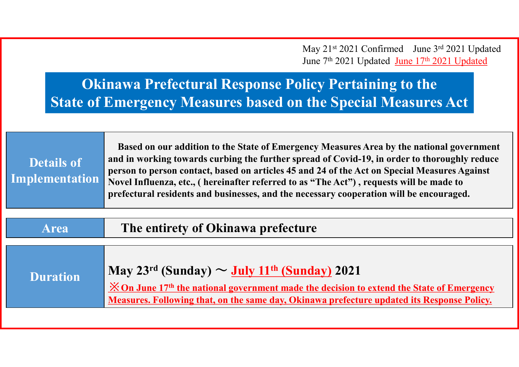May 21<sup>st</sup> 2021 Confirmed June 3rd 2021 Updated June 7<sup>th</sup> 2021 Updated June 17<sup>th</sup> 2021 Updated

# **Okinawa Prefectural Response Policy Pertaining to the State of Emergency Measures based on the Special Measures Act**

|                   | Based on our addition to the State of Emergency Measures Area by the national government     |
|-------------------|----------------------------------------------------------------------------------------------|
| <b>Details of</b> | and in working towards curbing the further spread of Covid-19, in order to thoroughly reduce |
|                   | person to person contact, based on articles 45 and 24 of the Act on Special Measures Against |
| Implementation    | Novel Influenza, etc., ( hereinafter referred to as "The Act"), requests will be made to     |
|                   | prefectural residents and businesses, and the necessary cooperation will be encouraged.      |
|                   |                                                                                              |

| <b>Area</b>     | The entirety of Okinawa prefecture                                                                                                                                                                                                                                                               |  |  |
|-----------------|--------------------------------------------------------------------------------------------------------------------------------------------------------------------------------------------------------------------------------------------------------------------------------------------------|--|--|
| <b>Duration</b> | May $23^{rd}$ (Sunday) $\sim$ July 11 <sup>th</sup> (Sunday) 2021<br>$\frac{\dot{x}}{\dot{x}}$ On June 17 <sup>th</sup> the national government made the decision to extend the State of Emergency<br>Measures. Following that, on the same day, Okinawa prefecture updated its Response Policy. |  |  |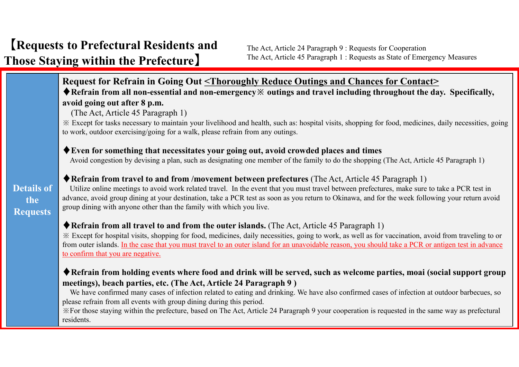## **Request for Refrain in Going Out <Thoroughly Reduce Outings and Chances for Contact>**

♦**Refrain from all non-essential and non-emergency※ outings and travel including throughout the day. Specifically, avoid going out after 8 p.m.**

(The Act, Article 45 Paragraph 1)

※ Except for tasks necessary to maintain your livelihood and health, such as: hospital visits, shopping for food, medicines, daily necessities, going to work, outdoor exercising/going for a walk, please refrain from any outings.

### ♦**Even for something that necessitates your going out, avoid crowded places and times**

Avoid congestion by devising a plan, such as designating one member of the family to do the shopping (The Act, Article 45 Paragraph 1)

#### ♦**Refrain from travel to and from /movement between prefectures** (The Act, Article 45 Paragraph 1)

**Details of the Requests**

## Utilize online meetings to avoid work related travel. In the event that you must travel between prefectures, make sure to take a PCR test in advance, avoid group dining at your destination, take a PCR test as soon as you return to Okinawa, and for the week following your return avoid group dining with anyone other than the family with which you live.

### ♦**Refrain from all travel to and from the outer islands.** (The Act, Article 45 Paragraph 1)

※ Except for hospital visits, shopping for food, medicines, daily necessities, going to work, as well as for vaccination, avoid from traveling to or from outer islands. In the case that you must travel to an outer island for an unavoidable reason, you should take a PCR or antigen test in advance to confirm that you are negative.

## ◆ Refrain from holding events where food and drink will be served, such as welcome parties, moai (social support group **meetings), beach parties, etc. (The Act, Article 24 Paragraph 9 )**

We have confirmed many cases of infection related to eating and drinking. We have also confirmed cases of infection at outdoor barbecues, so please refrain from all events with group dining during this period.

※For those staying within the prefecture, based on The Act, Article 24 Paragraph 9 your cooperation is requested in the same way as prefectural residents.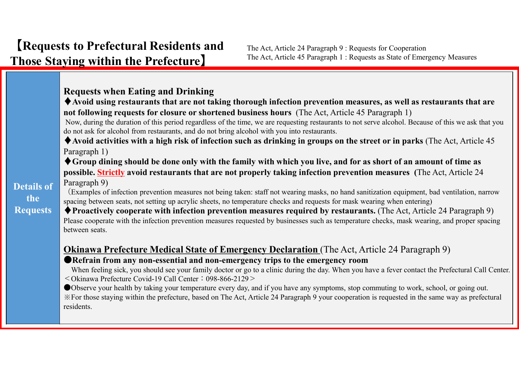## **Requests when Eating and Drinking**

◆ Avoid using restaurants that are not taking thorough infection prevention measures, as well as restaurants that are **not following requests for closure or shortened business hours** (The Act, Article 45 Paragraph 1)

Now, during the duration of this period regardless of the time, we are requesting restaurants to not serve alcohol. Because of this we ask that you do not ask for alcohol from restaurants, and do not bring alcohol with you into restaurants.

 $\triangle$  Avoid activities with a high risk of infection such as drinking in groups on the street or in parks (The Act, Article 45 Paragraph 1)

 $\blacklozenge$  Group dining should be done only with the family with which you live, and for as short of an amount of time as **possible. Strictly avoid restaurants that are not properly taking infection prevention measures (**The Act, Article 24 Paragraph 9)

(Examples of infection prevention measures not being taken: staff not wearing masks, no hand sanitization equipment, bad ventilation, narrow spacing between seats, not setting up acrylic sheets, no temperature checks and requests for mask wearing when entering)

♦**Proactively cooperate with infection prevention measures required by restaurants.** (The Act, Article 24 Paragraph 9) Please cooperate with the infection prevention measures requested by businesses such as temperature checks, mask wearing, and proper spacing between seats.

## **Okinawa Prefecture Medical State of Emergency Declaration** (The Act, Article 24 Paragraph 9) ●**Refrain from any non-essential and non-emergency trips to the emergency room**

When feeling sick, you should see your family doctor or go to a clinic during the day. When you have a fever contact the Prefectural Call Center. <Okinawa Prefecture Covid-19 Call Center:098-866-2129>

●Observe your health by taking your temperature every day, and if you have any symptoms, stop commuting to work, school, or going out. ※For those staying within the prefecture, based on The Act, Article 24 Paragraph 9 your cooperation is requested in the same way as prefectural residents.

**Details of the Requests**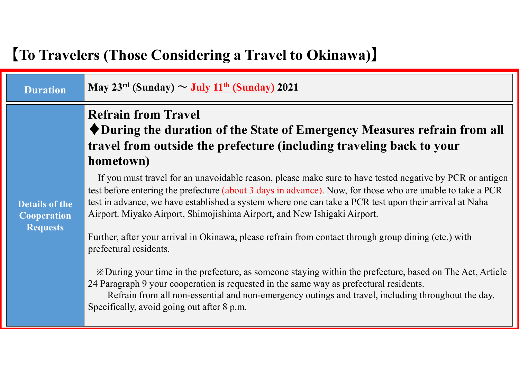# 【**To Travelers (Those Considering a Travel to Okinawa)**】

| <b>Duration</b>                       | May 23 <sup>rd</sup> (Sunday) $\sim$ July 11 <sup>th</sup> (Sunday) 2021                                                                                                                                                                                                                                                                                                                                                                                                                                                                                              |  |  |  |  |
|---------------------------------------|-----------------------------------------------------------------------------------------------------------------------------------------------------------------------------------------------------------------------------------------------------------------------------------------------------------------------------------------------------------------------------------------------------------------------------------------------------------------------------------------------------------------------------------------------------------------------|--|--|--|--|
| <b>Details of the</b>                 | <b>Refrain from Travel</b><br>◆ During the duration of the State of Emergency Measures refrain from all<br>travel from outside the prefecture (including traveling back to your<br>hometown)<br>If you must travel for an unavoidable reason, please make sure to have tested negative by PCR or antigen<br>test before entering the prefecture (about 3 days in advance). Now, for those who are unable to take a PCR<br>test in advance, we have established a system where one can take a PCR test upon their arrival at Naha                                      |  |  |  |  |
| <b>Cooperation</b><br><b>Requests</b> | Airport. Miyako Airport, Shimojishima Airport, and New Ishigaki Airport.<br>Further, after your arrival in Okinawa, please refrain from contact through group dining (etc.) with<br>prefectural residents.<br>X During your time in the prefecture, as someone staying within the prefecture, based on The Act, Article<br>24 Paragraph 9 your cooperation is requested in the same way as prefectural residents.<br>Refrain from all non-essential and non-emergency outings and travel, including throughout the day.<br>Specifically, avoid going out after 8 p.m. |  |  |  |  |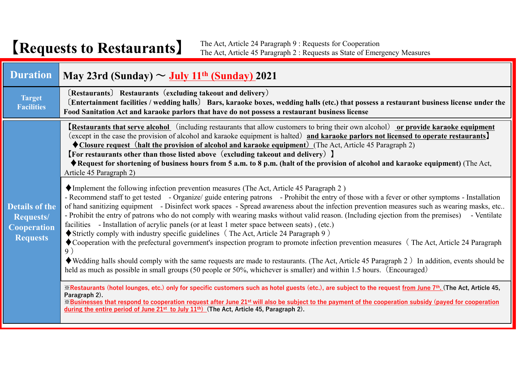# 【**Requests to Restaurants**】

The Act, Article 24 Paragraph 9 : Requests for Cooperation The Act, Article 45 Paragraph 2 : Requests as State of Emergency Measures

| <b>Duration</b>                                                                    | $\vert$ May 23rd (Sunday) $\sim$ July 11 <sup>th</sup> (Sunday) 2021                                                                                                                                                                                                                                                                                                                                                                                                                                                                                                                                                                                                                                                                                                                                                                                                                                                                                                                                                                                                                                                                                                                                                |  |  |  |  |
|------------------------------------------------------------------------------------|---------------------------------------------------------------------------------------------------------------------------------------------------------------------------------------------------------------------------------------------------------------------------------------------------------------------------------------------------------------------------------------------------------------------------------------------------------------------------------------------------------------------------------------------------------------------------------------------------------------------------------------------------------------------------------------------------------------------------------------------------------------------------------------------------------------------------------------------------------------------------------------------------------------------------------------------------------------------------------------------------------------------------------------------------------------------------------------------------------------------------------------------------------------------------------------------------------------------|--|--|--|--|
| <b>Target</b><br><b>Facilities</b>                                                 | (Restaurants) Restaurants (excluding takeout and delivery)<br>(Entertainment facilities / wedding halls) Bars, karaoke boxes, wedding halls (etc.) that possess a restaurant business license under the<br>Food Sanitation Act and karaoke parlors that have do not possess a restaurant business license                                                                                                                                                                                                                                                                                                                                                                                                                                                                                                                                                                                                                                                                                                                                                                                                                                                                                                           |  |  |  |  |
|                                                                                    | <b>Restaurants that serve alcohol</b> (including restaurants that allow customers to bring their own alcohol) or provide karaoke equipment<br>(except in the case the provision of alcohol and karaoke equipment is halted) and karaoke parlors not licensed to operate restaurants<br>$\bigcirc$ Closure request (halt the provision of alcohol and karaoke equipment) (The Act, Article 45 Paragraph 2)<br><b>[For restaurants other than those listed above (excluding takeout and delivery)</b> ]<br>◆ Request for shortening of business hours from 5 a.m. to 8 p.m. (halt of the provision of alcohol and karaoke equipment) (The Act,<br>Article 45 Paragraph 2)                                                                                                                                                                                                                                                                                                                                                                                                                                                                                                                                             |  |  |  |  |
| <b>Details of the</b><br><b>Requests/</b><br><b>Cooperation</b><br><b>Requests</b> | $\blacklozenge$ Implement the following infection prevention measures (The Act, Article 45 Paragraph 2)<br>- Recommend staff to get tested - Organize/ guide entering patrons - Prohibit the entry of those with a fever or other symptoms - Installation<br>of hand sanitizing equipment - Disinfect work spaces - Spread awareness about the infection prevention measures such as wearing masks, etc<br>- Prohibit the entry of patrons who do not comply with wearing masks without valid reason. (Including ejection from the premises) - Ventilate<br>facilities - Installation of acrylic panels (or at least 1 meter space between seats), (etc.)<br>$\blacklozenge$ Strictly comply with industry specific guidelines (The Act, Article 24 Paragraph 9)<br>$\bullet$ Cooperation with the prefectural government's inspection program to promote infection prevention measures (The Act, Article 24 Paragraph<br>9)<br>$\blacklozenge$ Wedding halls should comply with the same requests are made to restaurants. (The Act, Article 45 Paragraph 2) In addition, events should be<br>held as much as possible in small groups (50 people or 50%, whichever is smaller) and within 1.5 hours. (Encouraged) |  |  |  |  |
|                                                                                    | ※Restaurants (hotel lounges, etc.) only for specific customers such as hotel guests (etc.), are subject to the request from June 7 <sup>th</sup> . (The Act, Article 45,<br>Paragraph 2).<br><b>Xighter</b> Eusinesses that respond to cooperation request after June 21 <sup>st</sup> will also be subject to the payment of the cooperation subsidy (payed for cooperation<br>during the entire period of June $21^{st}$ to July $11^{th}$ ) (The Act, Article 45, Paragraph 2).                                                                                                                                                                                                                                                                                                                                                                                                                                                                                                                                                                                                                                                                                                                                  |  |  |  |  |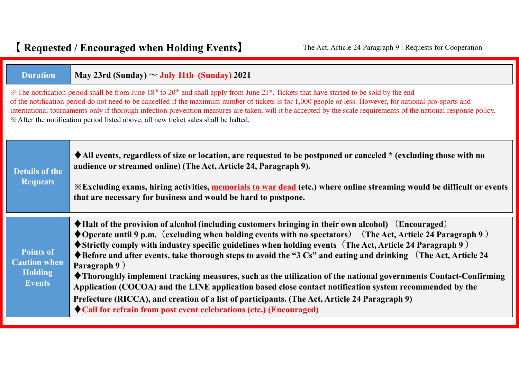| <b>Duration</b>                                                                                                                                                                                                                                                                                                                                                                                                                                                                                                                                                    | May 23rd (Sunday) $\sim$ July 11th (Sunday) 2021                                                                                                                                                                                                                                                                                                                                                                                                                                                                                                                                                                                                                                                                                                                                                                                                                                                                    |  |  |  |  |
|--------------------------------------------------------------------------------------------------------------------------------------------------------------------------------------------------------------------------------------------------------------------------------------------------------------------------------------------------------------------------------------------------------------------------------------------------------------------------------------------------------------------------------------------------------------------|---------------------------------------------------------------------------------------------------------------------------------------------------------------------------------------------------------------------------------------------------------------------------------------------------------------------------------------------------------------------------------------------------------------------------------------------------------------------------------------------------------------------------------------------------------------------------------------------------------------------------------------------------------------------------------------------------------------------------------------------------------------------------------------------------------------------------------------------------------------------------------------------------------------------|--|--|--|--|
| * The notification period shall be from June 18th to 20th and shall apply from June 21st. Tickets that have started to be sold by the end<br>of the notification period do not need to be cancelled if the maximum number of tickets is for 1,000 people or less. However, for national pro-sports and<br>international tournaments only if thorough infection prevention measures are taken, will it be accepted by the scale requirements of the national response policy.<br>*After the notification period listed above, all new ticket sales shall be halted. |                                                                                                                                                                                                                                                                                                                                                                                                                                                                                                                                                                                                                                                                                                                                                                                                                                                                                                                     |  |  |  |  |
| <b>Details of the</b><br><b>Requests</b>                                                                                                                                                                                                                                                                                                                                                                                                                                                                                                                           | ◆ All events, regardless of size or location, are requested to be postponed or canceled * (excluding those with no<br>audience or streamed online) (The Act, Article 24, Paragraph 9).<br><b>Excluding exams, hiring activities, memorials to war dead (etc.) where online streaming would be difficult or events</b><br>that are necessary for business and would be hard to postpone.                                                                                                                                                                                                                                                                                                                                                                                                                                                                                                                             |  |  |  |  |
| <b>Points of</b><br><b>Caution when</b><br><b>Holding</b><br><b>Events</b>                                                                                                                                                                                                                                                                                                                                                                                                                                                                                         | $\blacklozenge$ Halt of the provision of alcohol (including customers bringing in their own alcohol) (Encouraged)<br>◆ Operate until 9 p.m. (excluding when holding events with no spectators) (The Act, Article 24 Paragraph 9)<br>$\blacklozenge$ Strictly comply with industry specific guidelines when holding events (The Act, Article 24 Paragraph 9)<br>$\blacklozenge$ Before and after events, take thorough steps to avoid the "3 Cs" and eating and drinking (The Act, Article 24<br>Paragraph 9)<br>◆ Thoroughly implement tracking measures, such as the utilization of the national governments Contact-Confirming<br>Application (COCOA) and the LINE application based close contact notification system recommended by the<br>Prefecture (RICCA), and creation of a list of participants. (The Act, Article 24 Paragraph 9)<br>◆ Call for refrain from post event celebrations (etc.) (Encouraged) |  |  |  |  |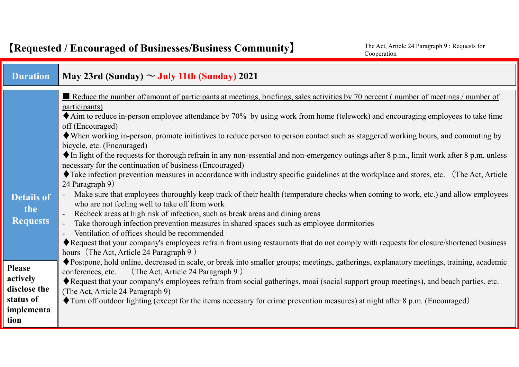$\overline{\phantom{a}}$ 

| <b>Duration</b>                                                              | May 23rd (Sunday) $\sim$ July 11th (Sunday) 2021                                                                                                                                                                                                                                                                                                                                                                                                                                                                                                                                                                                                                                                                                                                                                                                                                                                                                                                                                                                                                                                                                                                                                                                                                                                                                                                                                                                                                                         |  |  |  |  |
|------------------------------------------------------------------------------|------------------------------------------------------------------------------------------------------------------------------------------------------------------------------------------------------------------------------------------------------------------------------------------------------------------------------------------------------------------------------------------------------------------------------------------------------------------------------------------------------------------------------------------------------------------------------------------------------------------------------------------------------------------------------------------------------------------------------------------------------------------------------------------------------------------------------------------------------------------------------------------------------------------------------------------------------------------------------------------------------------------------------------------------------------------------------------------------------------------------------------------------------------------------------------------------------------------------------------------------------------------------------------------------------------------------------------------------------------------------------------------------------------------------------------------------------------------------------------------|--|--|--|--|
| <b>Details of</b><br>the<br><b>Requests</b>                                  | Reduce the number of/amount of participants at meetings, briefings, sales activities by 70 percent (number of meetings / number of<br>participants)<br>$\blacklozenge$ Aim to reduce in-person employee attendance by 70% by using work from home (telework) and encouraging employees to take time<br>off (Encouraged)<br>• When working in-person, promote initiatives to reduce person to person contact such as staggered working hours, and commuting by<br>bicycle, etc. (Encouraged)<br>$\blacklozenge$ In light of the requests for thorough refrain in any non-essential and non-emergency outings after 8 p.m., limit work after 8 p.m. unless<br>necessary for the continuation of business (Encouraged)<br>Take infection prevention measures in accordance with industry specific guidelines at the workplace and stores, etc. (The Act, Article<br>24 Paragraph 9)<br>Make sure that employees thoroughly keep track of their health (temperature checks when coming to work, etc.) and allow employees<br>who are not feeling well to take off from work<br>Recheck areas at high risk of infection, such as break areas and dining areas<br>Take thorough infection prevention measures in shared spaces such as employee dormitories<br>Ventilation of offices should be recommended<br>Request that your company's employees refrain from using restaurants that do not comply with requests for closure/shortened business<br>hours (The Act, Article 24 Paragraph 9) |  |  |  |  |
| <b>Please</b><br>actively<br>disclose the<br>status of<br>implementa<br>tion | ◆ Postpone, hold online, decreased in scale, or break into smaller groups; meetings, gatherings, explanatory meetings, training, academic<br>(The Act, Article 24 Paragraph 9)<br>conferences, etc.<br>Request that your company's employees refrain from social gatherings, moai (social support group meetings), and beach parties, etc.<br>(The Act, Article 24 Paragraph 9)<br>Turn off outdoor lighting (except for the items necessary for crime prevention measures) at night after 8 p.m. (Encouraged)                                                                                                                                                                                                                                                                                                                                                                                                                                                                                                                                                                                                                                                                                                                                                                                                                                                                                                                                                                           |  |  |  |  |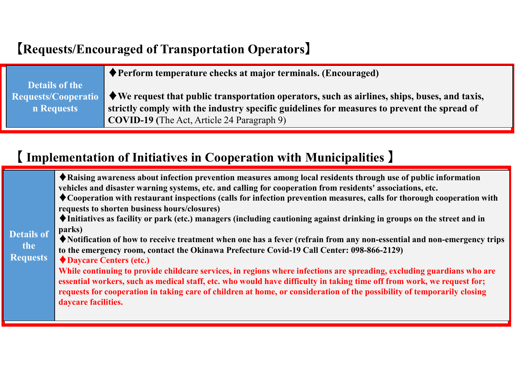# 【**Requests/Encouraged of Transportation Operators**】

|                       | $\blacklozenge$ Perform temperature checks at major terminals. (Encouraged)                                                     |  |  |  |
|-----------------------|---------------------------------------------------------------------------------------------------------------------------------|--|--|--|
| <b>Details of the</b> |                                                                                                                                 |  |  |  |
|                       | Requests/Cooperatio $\blacklozenge$ We request that public transportation operators, such as airlines, ships, buses, and taxis, |  |  |  |
| n Requests            | strictly comply with the industry specific guidelines for measures to prevent the spread of                                     |  |  |  |
|                       | <b>COVID-19</b> (The Act, Article 24 Paragraph 9)                                                                               |  |  |  |

# 【 **Implementation of Initiatives in Cooperation with Municipalities** 】

| <b>Details of</b><br>the<br><b>Requests</b> | ◆ Raising awareness about infection prevention measures among local residents through use of public information<br>vehicles and disaster warning systems, etc. and calling for cooperation from residents' associations, etc.<br>$\lozenge$ Cooperation with restaurant inspections (calls for infection prevention measures, calls for thorough cooperation with<br>requests to shorten business hours/closures)<br>◆Initiatives as facility or park (etc.) managers (including cautioning against drinking in groups on the street and in<br>parks)<br>◆ Notification of how to receive treatment when one has a fever (refrain from any non-essential and non-emergency trips<br>to the emergency room, contact the Okinawa Prefecture Covid-19 Call Center: 098-866-2129)<br>◆ Daycare Centers (etc.)<br>While continuing to provide childcare services, in regions where infections are spreading, excluding guardians who are<br>essential workers, such as medical staff, etc. who would have difficulty in taking time off from work, we request for;<br>requests for cooperation in taking care of children at home, or consideration of the possibility of temporarily closing<br>daycare facilities. |
|---------------------------------------------|-----------------------------------------------------------------------------------------------------------------------------------------------------------------------------------------------------------------------------------------------------------------------------------------------------------------------------------------------------------------------------------------------------------------------------------------------------------------------------------------------------------------------------------------------------------------------------------------------------------------------------------------------------------------------------------------------------------------------------------------------------------------------------------------------------------------------------------------------------------------------------------------------------------------------------------------------------------------------------------------------------------------------------------------------------------------------------------------------------------------------------------------------------------------------------------------------------------------|
|---------------------------------------------|-----------------------------------------------------------------------------------------------------------------------------------------------------------------------------------------------------------------------------------------------------------------------------------------------------------------------------------------------------------------------------------------------------------------------------------------------------------------------------------------------------------------------------------------------------------------------------------------------------------------------------------------------------------------------------------------------------------------------------------------------------------------------------------------------------------------------------------------------------------------------------------------------------------------------------------------------------------------------------------------------------------------------------------------------------------------------------------------------------------------------------------------------------------------------------------------------------------------|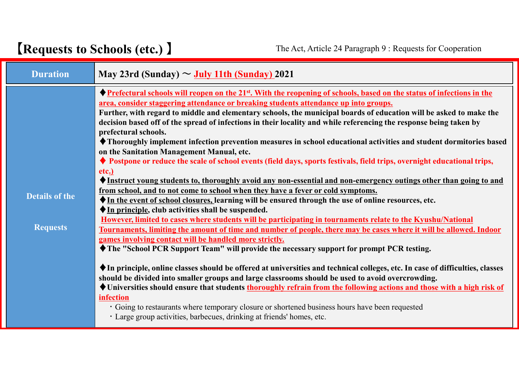# 【**Requests to Schools (etc.)** 】 The Act, Article <sup>24</sup> Paragraph <sup>9</sup> : Requests for Cooperation

г

| <b>Duration</b>                          | May 23rd (Sunday) $\sim$ July 11th (Sunday) 2021                                                                                                                                                                                                                                                                                                                                                                                                                                                                                                                                                                                                                                                                                                                                                                                                                                                                                                                                                                                                                                                                                                                                                                                                                                                                                                                                                                                                                                                                                                                                                                                                                                                                                                                                                                                                                                                                                                                                                                                                                                                                                                   |  |  |  |
|------------------------------------------|----------------------------------------------------------------------------------------------------------------------------------------------------------------------------------------------------------------------------------------------------------------------------------------------------------------------------------------------------------------------------------------------------------------------------------------------------------------------------------------------------------------------------------------------------------------------------------------------------------------------------------------------------------------------------------------------------------------------------------------------------------------------------------------------------------------------------------------------------------------------------------------------------------------------------------------------------------------------------------------------------------------------------------------------------------------------------------------------------------------------------------------------------------------------------------------------------------------------------------------------------------------------------------------------------------------------------------------------------------------------------------------------------------------------------------------------------------------------------------------------------------------------------------------------------------------------------------------------------------------------------------------------------------------------------------------------------------------------------------------------------------------------------------------------------------------------------------------------------------------------------------------------------------------------------------------------------------------------------------------------------------------------------------------------------------------------------------------------------------------------------------------------------|--|--|--|
| <b>Details of the</b><br><b>Requests</b> | ◆ Prefectural schools will reopen on the 21 <sup>st</sup> . With the reopening of schools, based on the status of infections in the<br>area, consider staggering attendance or breaking students attendance up into groups.<br>Further, with regard to middle and elementary schools, the municipal boards of education will be asked to make the<br>decision based off of the spread of infections in their locality and while referencing the response being taken by<br>prefectural schools.<br>◆ Thoroughly implement infection prevention measures in school educational activities and student dormitories based<br>on the Sanitation Management Manual, etc.<br>◆ Postpone or reduce the scale of school events (field days, sports festivals, field trips, overnight educational trips,<br>etc.)<br>◆ Instruct young students to, thoroughly avoid any non-essential and non-emergency outings other than going to and<br>from school, and to not come to school when they have a fever or cold symptoms.<br>In the event of school closures, learning will be ensured through the use of online resources, etc.<br>$\blacklozenge$ In principle, club activities shall be suspended.<br>However, limited to cases where students will be participating in tournaments relate to the Kyushu/National<br>Tournaments, limiting the amount of time and number of people, there may be cases where it will be allowed. Indoor<br>games involving contact will be handled more strictly.<br>◆ The "School PCR Support Team" will provide the necessary support for prompt PCR testing.<br>◆ In principle, online classes should be offered at universities and technical colleges, etc. In case of difficulties, classes<br>should be divided into smaller groups and large classrooms should be used to avoid overcrowding.<br>◆ Universities should ensure that students thoroughly refrain from the following actions and those with a high risk of<br>infection<br>• Going to restaurants where temporary closure or shortened business hours have been requested<br>· Large group activities, barbecues, drinking at friends' homes, etc. |  |  |  |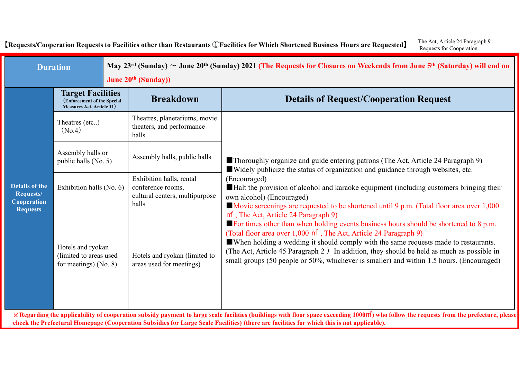[Requests/Cooperation Requests to Facilities other than Restaurants ①Facilities for Which Shortened Business Hours are Requested] The Act, Article 24 Paragraph 9 : Requests for Cooperation

| <b>Duration</b>                                                             |                                                                                             |  | May 23 <sup>rd</sup> (Sunday) $\sim$ June 20 <sup>th</sup> (Sunday) 2021 (The Requests for Closures on Weekends from June 5 <sup>th</sup> (Saturday) will end on<br><b>June 20th (Sunday))</b> |                                                                                                                                                                                                                                                                                                                                                                                                                                                                                                                                                                                                                                                                                                               |  |  |
|-----------------------------------------------------------------------------|---------------------------------------------------------------------------------------------|--|------------------------------------------------------------------------------------------------------------------------------------------------------------------------------------------------|---------------------------------------------------------------------------------------------------------------------------------------------------------------------------------------------------------------------------------------------------------------------------------------------------------------------------------------------------------------------------------------------------------------------------------------------------------------------------------------------------------------------------------------------------------------------------------------------------------------------------------------------------------------------------------------------------------------|--|--|
| <b>Details of the</b><br>Requests/<br><b>Cooperation</b><br><b>Requests</b> | <b>Target Facilities</b><br>(Enforcement of the Special<br><b>Measures Act, Article 11)</b> |  | <b>Breakdown</b>                                                                                                                                                                               | <b>Details of Request/Cooperation Request</b>                                                                                                                                                                                                                                                                                                                                                                                                                                                                                                                                                                                                                                                                 |  |  |
|                                                                             | Theatres (etc)<br>(No.4)                                                                    |  | Theatres, planetariums, movie<br>theaters, and performance<br>halls                                                                                                                            |                                                                                                                                                                                                                                                                                                                                                                                                                                                                                                                                                                                                                                                                                                               |  |  |
|                                                                             | Assembly halls or<br>public halls (No. 5)                                                   |  | Assembly halls, public halls                                                                                                                                                                   | Thoroughly organize and guide entering patrons (The Act, Article 24 Paragraph 9)<br>■ Widely publicize the status of organization and guidance through websites, etc.                                                                                                                                                                                                                                                                                                                                                                                                                                                                                                                                         |  |  |
|                                                                             | Exhibition halls (No. 6)                                                                    |  | Exhibition halls, rental<br>conference rooms,<br>cultural centers, multipurpose<br>halls                                                                                                       | (Encouraged)<br>Halt the provision of alcohol and karaoke equipment (including customers bringing their<br>own alcohol) (Encouraged)<br>Movie screenings are requested to be shortened until 9 p.m. (Total floor area over 1,000                                                                                                                                                                                                                                                                                                                                                                                                                                                                              |  |  |
|                                                                             | Hotels and ryokan<br>(limited to areas used)<br>for meetings) $(No. 8)$                     |  | Hotels and ryokan (limited to<br>areas used for meetings)                                                                                                                                      | $m^2$ , The Act, Article 24 Paragraph 9)<br>$\blacksquare$ For times other than when holding events business hours should be shortened to 8 p.m.<br>(Total floor area over $1,000 \text{ m}^2$ , The Act, Article 24 Paragraph 9)<br>When holding a wedding it should comply with the same requests made to restaurants.<br>(The Act, Article 45 Paragraph 2) In addition, they should be held as much as possible in<br>small groups (50 people or 50%, whichever is smaller) and within 1.5 hours. (Encouraged)<br>X Regarding the applicability of cooperation subsidy payment to large scale facilities (buildings with floor space exceeding 1000m2) who follow the requests from the prefecture, please |  |  |

check the Prefectural Homepage (Cooperation Subsidies for Large Scale Facilities) (there are facilities for which this is not applicable).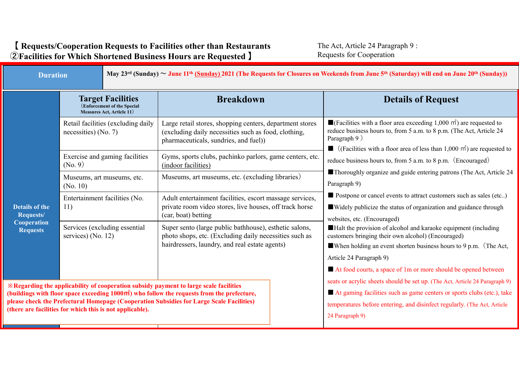The Act, Article 24 Paragraph 9 : Requests for Cooperation

| <b>Duration</b>                                                                                                                                                                                                                                                                                                                                               |                                                                                             | May $23^{rd}$ (Sunday) ~ June 11 <sup>th</sup> (Sunday) 2021 (The Requests for Closures on Weekends from June 5 <sup>th</sup> (Saturday) will end on June 20 <sup>th</sup> (Sunday)) |                                                                                                                                                                    |  |                                                                                                                                                                                                                                                                                                                                                                                                                                                                                                                                                                                                                                                                                                                                                                                                                           |  |
|---------------------------------------------------------------------------------------------------------------------------------------------------------------------------------------------------------------------------------------------------------------------------------------------------------------------------------------------------------------|---------------------------------------------------------------------------------------------|--------------------------------------------------------------------------------------------------------------------------------------------------------------------------------------|--------------------------------------------------------------------------------------------------------------------------------------------------------------------|--|---------------------------------------------------------------------------------------------------------------------------------------------------------------------------------------------------------------------------------------------------------------------------------------------------------------------------------------------------------------------------------------------------------------------------------------------------------------------------------------------------------------------------------------------------------------------------------------------------------------------------------------------------------------------------------------------------------------------------------------------------------------------------------------------------------------------------|--|
|                                                                                                                                                                                                                                                                                                                                                               | <b>Target Facilities</b><br>(Enforcement of the Special<br><b>Measures Act, Article 11)</b> |                                                                                                                                                                                      | <b>Breakdown</b>                                                                                                                                                   |  | <b>Details of Request</b>                                                                                                                                                                                                                                                                                                                                                                                                                                                                                                                                                                                                                                                                                                                                                                                                 |  |
|                                                                                                                                                                                                                                                                                                                                                               | Retail facilities (excluding daily<br>necessities) (No. 7)                                  |                                                                                                                                                                                      | Large retail stores, shopping centers, department stores<br>(excluding daily necessities such as food, clothing,<br>pharmaceuticals, sundries, and fuel))          |  | $\blacksquare$ (Facilities with a floor area exceeding 1,000 m <sup>2</sup> ) are requested to<br>reduce business hours to, from 5 a.m. to 8 p.m. (The Act, Article 24<br>Paragraph 9)<br>$\blacksquare$ (Facilities with a floor area of less than 1,000 m <sup>2</sup> ) are requested to<br>reduce business hours to, from 5 a.m. to 8 p.m. (Encouraged)<br>Thoroughly organize and guide entering patrons (The Act, Article 24<br>Paragraph 9)<br>Postpone or cancel events to attract customers such as sales (etc)<br>■ Widely publicize the status of organization and guidance through<br>websites, etc. (Encouraged)<br>Halt the provision of alcohol and karaoke equipment (including<br>customers bringing their own alcohol) (Encouraged)<br>When holding an event shorten business hours to 9 p.m. (The Act, |  |
|                                                                                                                                                                                                                                                                                                                                                               | Exercise and gaming facilities<br>(No. 9)                                                   |                                                                                                                                                                                      | Gyms, sports clubs, pachinko parlors, game centers, etc.<br>(indoor facilities)                                                                                    |  |                                                                                                                                                                                                                                                                                                                                                                                                                                                                                                                                                                                                                                                                                                                                                                                                                           |  |
| <b>Details of the</b><br>Requests/<br><b>Cooperation</b><br><b>Requests</b>                                                                                                                                                                                                                                                                                   | Museums, art museums, etc.<br>(No. 10)                                                      |                                                                                                                                                                                      | Museums, art museums, etc. (excluding libraries)                                                                                                                   |  |                                                                                                                                                                                                                                                                                                                                                                                                                                                                                                                                                                                                                                                                                                                                                                                                                           |  |
|                                                                                                                                                                                                                                                                                                                                                               | Entertainment facilities (No.<br>11)                                                        |                                                                                                                                                                                      | Adult entertainment facilities, escort massage services,<br>private room video stores, live houses, off track horse<br>(car, boat) betting                         |  |                                                                                                                                                                                                                                                                                                                                                                                                                                                                                                                                                                                                                                                                                                                                                                                                                           |  |
|                                                                                                                                                                                                                                                                                                                                                               | Services (excluding essential<br>services) (No. 12)                                         |                                                                                                                                                                                      | Super sento (large public bathhouse), esthetic salons,<br>photo shops, etc. (Excluding daily necessities such as<br>hairdressers, laundry, and real estate agents) |  |                                                                                                                                                                                                                                                                                                                                                                                                                                                                                                                                                                                                                                                                                                                                                                                                                           |  |
|                                                                                                                                                                                                                                                                                                                                                               |                                                                                             |                                                                                                                                                                                      |                                                                                                                                                                    |  | Article 24 Paragraph 9)<br>At food courts, a space of 1m or more should be opened between                                                                                                                                                                                                                                                                                                                                                                                                                                                                                                                                                                                                                                                                                                                                 |  |
| <b>Example 2</b> & Regarding the applicability of cooperation subsidy payment to large scale facilities<br>(buildings with floor space exceeding 1000m2) who follow the requests from the prefecture,<br>please check the Prefectural Homepage (Cooperation Subsidies for Large Scale Facilities)<br>(there are facilities for which this is not applicable). |                                                                                             |                                                                                                                                                                                      |                                                                                                                                                                    |  | seats or acrylic sheets should be set up. (The Act, Article 24 Paragraph 9)<br>At gaming facilities such as game centers or sports clubs (etc.), take<br>temperatures before entering, and disinfect regularly. (The Act, Article<br>24 Paragraph 9)                                                                                                                                                                                                                                                                                                                                                                                                                                                                                                                                                                      |  |